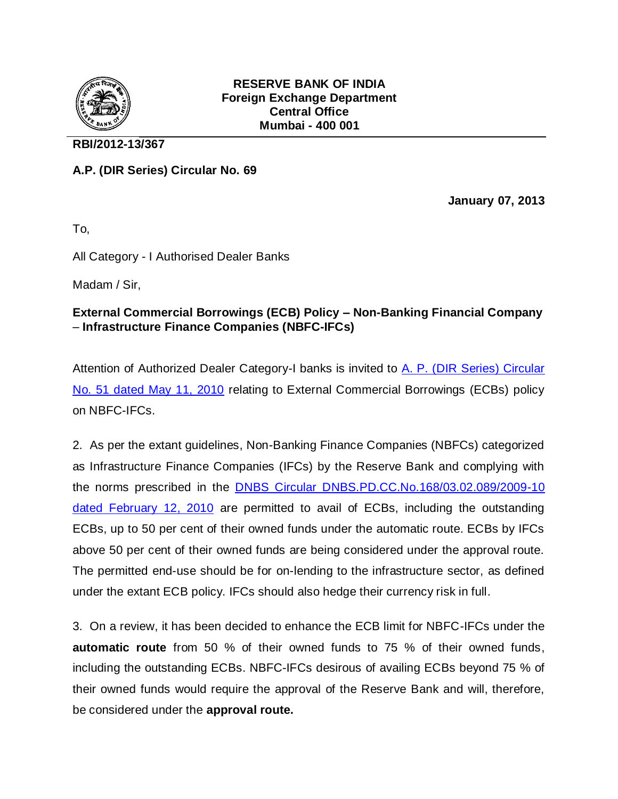

## **RESERVE BANK OF INDIA Foreign Exchange Department Central Office Mumbai - 400 001**

## **RBI/2012-13/367**

**A.P. (DIR Series) Circular No. 69**

**January 07, 2013**

To,

All Category - I Authorised Dealer Banks

Madam / Sir,

## **External Commercial Borrowings (ECB) Policy – Non-Banking Financial Company**  – **Infrastructure Finance Companies (NBFC-IFCs)**

Attention of Authorized Dealer Category-I banks is invited to A. P. (DIR Series) Circular [No. 51 dated May 11, 2010](http://rbi.org.in/Scripts/NotificationUser.aspx?Id=5668&Mode=0) relating to External Commercial Borrowings (ECBs) policy on NBFC-IFCs.

2. As per the extant guidelines, Non-Banking Finance Companies (NBFCs) categorized as Infrastructure Finance Companies (IFCs) by the Reserve Bank and complying with the norms prescribed in the [DNBS Circular DNBS.PD.CC.No.168/03.02.089/2009-10](http://www.rbi.org.in/scripts/NotificationUser.aspx?Id=5503&Mode=0)  [dated February 12, 2010](http://www.rbi.org.in/scripts/NotificationUser.aspx?Id=5503&Mode=0) are permitted to avail of ECBs, including the outstanding ECBs, up to 50 per cent of their owned funds under the automatic route. ECBs by IFCs above 50 per cent of their owned funds are being considered under the approval route. The permitted end-use should be for on-lending to the infrastructure sector, as defined under the extant ECB policy. IFCs should also hedge their currency risk in full.

3. On a review, it has been decided to enhance the ECB limit for NBFC-IFCs under the **automatic route** from 50 % of their owned funds to 75 % of their owned funds, including the outstanding ECBs. NBFC-IFCs desirous of availing ECBs beyond 75 % of their owned funds would require the approval of the Reserve Bank and will, therefore, be considered under the **approval route.**